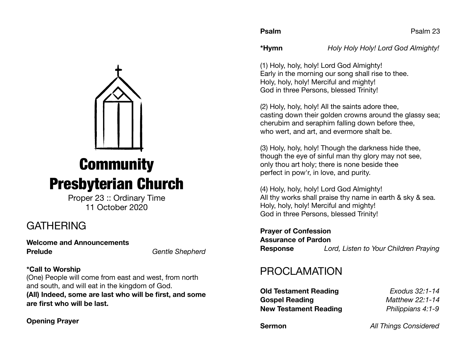**\*Hymn** *Holy Holy Holy! Lord God Almighty!* 

(1) Holy, holy, holy! Lord God Almighty! Early in the morning our song shall rise to thee. Holy, holy, holy! Merciful and mighty! God in three Persons, blessed Trinity!

(2) Holy, holy, holy! All the saints adore thee, casting down their golden crowns around the glassy sea; cherubim and seraphim falling down before thee, who wert, and art, and evermore shalt be.

(3) Holy, holy, holy! Though the darkness hide thee, though the eye of sinful man thy glory may not see, only thou art holy; there is none beside thee perfect in pow'r, in love, and purity.

(4) Holy, holy, holy! Lord God Almighty! All thy works shall praise thy name in earth & sky & sea. Holy, holy, holy! Merciful and mighty! God in three Persons, blessed Trinity!

**Prayer of Confession Assurance of Pardon Response** *Lord, Listen to Your Children Praying*

# PROCLAMATION

**Old Testament Reading** *Exodus 32:1-14* **Gospel Reading** *Matthew 22:1-14*  **New Testament Reading** *Philippians 4:1-9*

**Sermon** *All Things Considered* 

# **Community** Presbyterian Church

Proper 23 :: Ordinary Time 11 October 2020

# **GATHERING**

**Welcome and Announcements Prelude** *Gentle Shepherd* 

# **\*Call to Worship**

(One) People will come from east and west, from north and south, and will eat in the kingdom of God.

**(All) Indeed, some are last who will be first, and some are first who will be last.** 

# **Opening Prayer**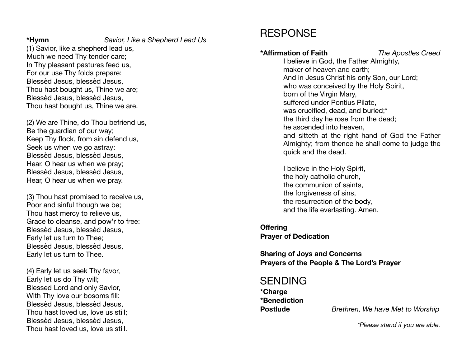**\*Hymn** *Savior, Like a Shepherd Lead Us*

(1) Savior, like a shepherd lead us, Much we need Thy tender care; In Thy pleasant pastures feed us, For our use Thy folds prepare: Blessèd Jesus, blessèd Jesus, Thou hast bought us, Thine we are; Blessèd Jesus, blessèd Jesus, Thou hast bought us, Thine we are.

(2) We are Thine, do Thou befriend us, Be the guardian of our way; Keep Thy flock, from sin defend us, Seek us when we go astray: Blessèd Jesus, blessèd Jesus, Hear, O hear us when we pray; Blessèd Jesus, blessèd Jesus, Hear, O hear us when we pray.

(3) Thou hast promised to receive us, Poor and sinful though we be; Thou hast mercy to relieve us, Grace to cleanse, and pow'r to free: Blessèd Jesus, blessèd Jesus, Early let us turn to Thee; Blessèd Jesus, blessèd Jesus, Early let us turn to Thee.

(4) Early let us seek Thy favor, Early let us do Thy will; Blessed Lord and only Savior, With Thy love our bosoms fill: Blessèd Jesus, blessèd Jesus, Thou hast loved us, love us still; Blessèd Jesus, blessèd Jesus, Thou hast loved us, love us still.

# RESPONSE

# **\*Affirmation of Faith** *The Apostles Creed*

I believe in God, the Father Almighty, maker of heaven and earth; And in Jesus Christ his only Son, our Lord; who was conceived by the Holy Spirit, born of the Virgin Mary, suffered under Pontius Pilate, was crucified, dead, and buried;\* the third day he rose from the dead; he ascended into heaven, and sitteth at the right hand of God the Father Almighty; from thence he shall come to judge the quick and the dead.

I believe in the Holy Spirit, the holy catholic church, the communion of saints, the forgiveness of sins, the resurrection of the body, and the life everlasting. Amen.

**Offering Prayer of Dedication** 

**Sharing of Joys and Concerns Prayers of the People & The Lord's Prayer**

# SENDING

**\*Charge \*Benediction** 

**Postlude** *Brethren, We have Met to Worship*

*\*Please stand if you are able.*